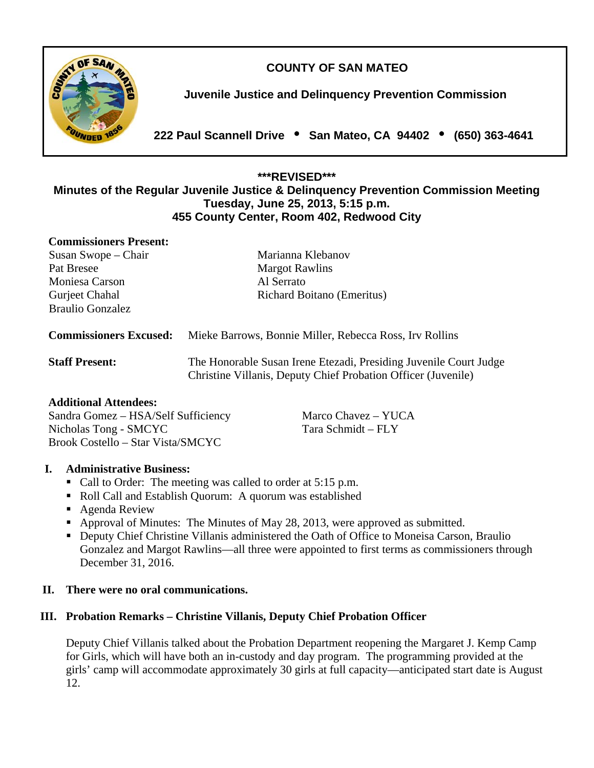**COUNTY OF SAN MATEO** 



**Juvenile Justice and Delinquency Prevention Commission** 

**222 Paul Scannell Drive San Mateo, CA 94402 (650) 363-4641** 

# **\*\*\*REVISED\*\*\* Minutes of the Regular Juvenile Justice & Delinquency Prevention Commission Meeting Tuesday, June 25, 2013, 5:15 p.m. 455 County Center, Room 402, Redwood City**

| <b>Commissioners Present:</b> |                                                                                                                                    |
|-------------------------------|------------------------------------------------------------------------------------------------------------------------------------|
| Susan Swope – Chair           | Marianna Klebanov                                                                                                                  |
| Pat Bresee                    | <b>Margot Rawlins</b>                                                                                                              |
| Moniesa Carson                | Al Serrato                                                                                                                         |
| Gurjeet Chahal                | Richard Boitano (Emeritus)                                                                                                         |
| <b>Braulio Gonzalez</b>       |                                                                                                                                    |
| <b>Commissioners Excused:</b> | Mieke Barrows, Bonnie Miller, Rebecca Ross, Irv Rollins                                                                            |
| <b>Staff Present:</b>         | The Honorable Susan Irene Etezadi, Presiding Juvenile Court Judge<br>Christine Villanis, Deputy Chief Probation Officer (Juvenile) |

# **Additional Attendees:**

Sandra Gomez – HSA/Self Sufficiency Marco Chavez – YUCA Nicholas Tong - SMCYC Tara Schmidt – FLY Brook Costello – Star Vista/SMCYC

# **I. Administrative Business:**

- Call to Order: The meeting was called to order at 5:15 p.m.
- Roll Call and Establish Quorum: A quorum was established
- Agenda Review
- Approval of Minutes: The Minutes of May 28, 2013, were approved as submitted.
- Deputy Chief Christine Villanis administered the Oath of Office to Moneisa Carson, Braulio Gonzalez and Margot Rawlins—all three were appointed to first terms as commissioners through December 31, 2016.

# **II. There were no oral communications.**

# **III. Probation Remarks – Christine Villanis, Deputy Chief Probation Officer**

Deputy Chief Villanis talked about the Probation Department reopening the Margaret J. Kemp Camp for Girls, which will have both an in-custody and day program. The programming provided at the girls' camp will accommodate approximately 30 girls at full capacity—anticipated start date is August 12.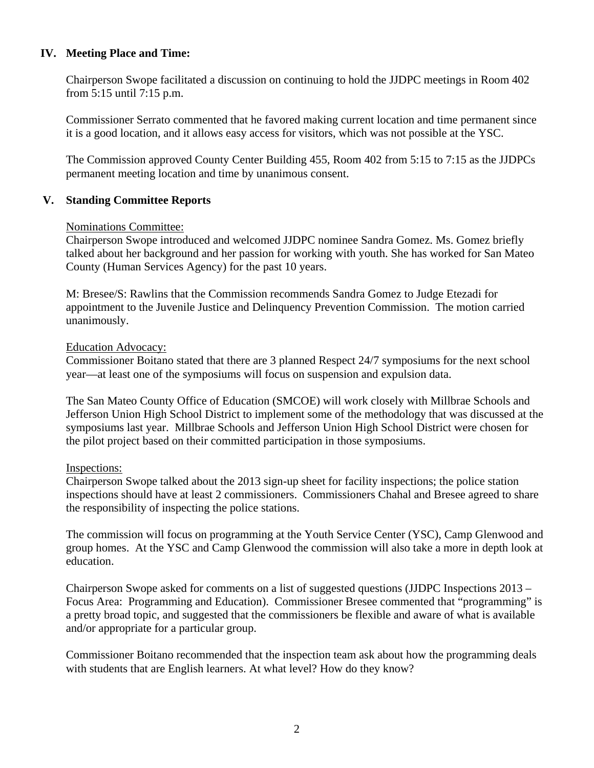## **IV. Meeting Place and Time:**

Chairperson Swope facilitated a discussion on continuing to hold the JJDPC meetings in Room 402 from 5:15 until 7:15 p.m.

Commissioner Serrato commented that he favored making current location and time permanent since it is a good location, and it allows easy access for visitors, which was not possible at the YSC.

The Commission approved County Center Building 455, Room 402 from 5:15 to 7:15 as the JJDPCs permanent meeting location and time by unanimous consent.

## **V. Standing Committee Reports**

#### Nominations Committee:

Chairperson Swope introduced and welcomed JJDPC nominee Sandra Gomez. Ms. Gomez briefly talked about her background and her passion for working with youth. She has worked for San Mateo County (Human Services Agency) for the past 10 years.

M: Bresee/S: Rawlins that the Commission recommends Sandra Gomez to Judge Etezadi for appointment to the Juvenile Justice and Delinquency Prevention Commission. The motion carried unanimously.

#### Education Advocacy:

Commissioner Boitano stated that there are 3 planned Respect 24/7 symposiums for the next school year—at least one of the symposiums will focus on suspension and expulsion data.

The San Mateo County Office of Education (SMCOE) will work closely with Millbrae Schools and Jefferson Union High School District to implement some of the methodology that was discussed at the symposiums last year. Millbrae Schools and Jefferson Union High School District were chosen for the pilot project based on their committed participation in those symposiums.

#### Inspections:

Chairperson Swope talked about the 2013 sign-up sheet for facility inspections; the police station inspections should have at least 2 commissioners. Commissioners Chahal and Bresee agreed to share the responsibility of inspecting the police stations.

The commission will focus on programming at the Youth Service Center (YSC), Camp Glenwood and group homes. At the YSC and Camp Glenwood the commission will also take a more in depth look at education.

Chairperson Swope asked for comments on a list of suggested questions (JJDPC Inspections 2013 – Focus Area: Programming and Education). Commissioner Bresee commented that "programming" is a pretty broad topic, and suggested that the commissioners be flexible and aware of what is available and/or appropriate for a particular group.

Commissioner Boitano recommended that the inspection team ask about how the programming deals with students that are English learners. At what level? How do they know?